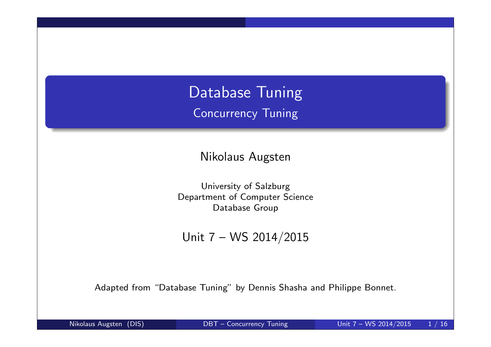Database Tuning Concurrency Tuning

Nikolaus Augsten

University of Salzburg Department of Computer Science Database Group

Unit 7 – WS 2014/2015

Adapted from "Database Tuning" by Dennis Shasha and Philippe Bonnet.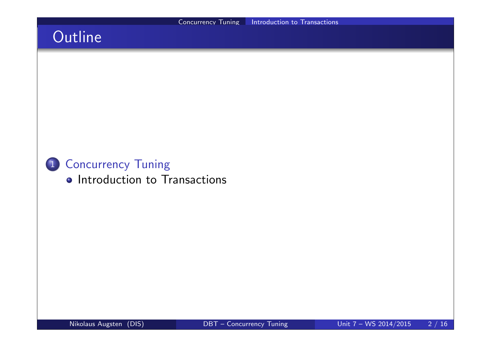# **Outline**

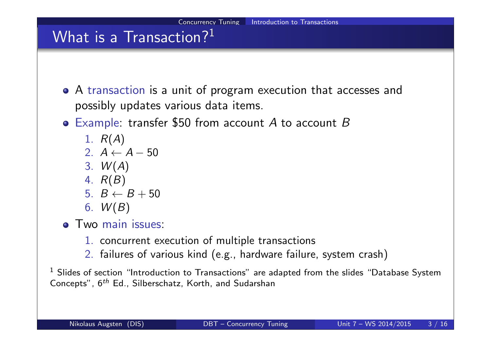

 $^{\rm 1}$  Slides of section "Introduction to Transactions" are adapted from the slides "Database System Concepts",  $6^{th}$  Ed., Silberschatz, Korth, and Sudarshan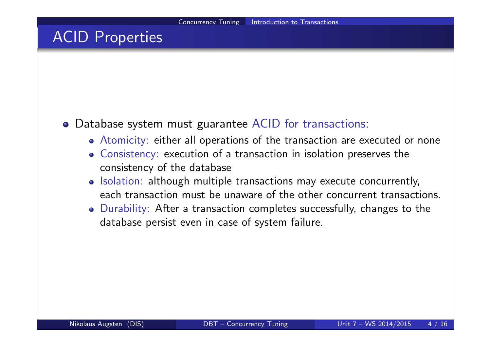### ACID Properties

#### Database system must guarantee ACID for transactions:

- Atomicity: either all operations of the transaction are executed or none
- Consistency: execution of a transaction in isolation preserves the consistency of the database
- o Isolation: although multiple transactions may execute concurrently, each transaction must be unaware of the other concurrent transactions.
- Durability: After a transaction completes successfully, changes to the database persist even in case of system failure.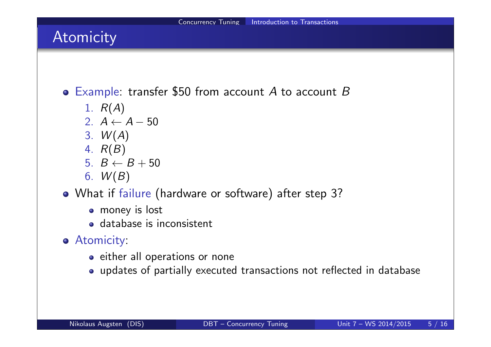## Atomicity

 $\bullet$  Example: transfer \$50 from account A to account B

- 1.  $R(A)$
- 2.  $A \leftarrow A 50$
- 3.  $W(A)$
- 4. R(B)
- 5.  $B \leftarrow B + 50$
- 6.  $W(B)$
- What if failure (hardware or software) after step 3?
	- money is lost
	- database is inconsistent
- **Atomicity:** 
	- o either all operations or none
	- updates of partially executed transactions not reflected in database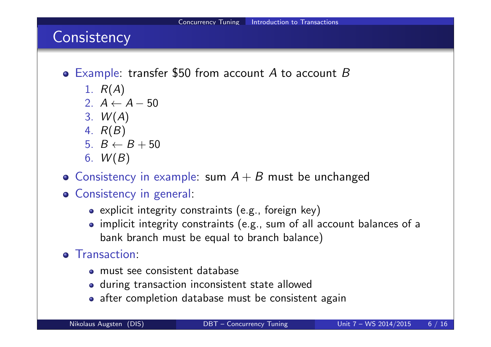# **Consistency**

- $\bullet$  Example: transfer \$50 from account A to account B
	- 1.  $R(A)$
	- 2.  $A \leftarrow A 50$
	- 3.  $W(A)$
	- 4. R(B)
	- 5.  $B \leftarrow B + 50$
	- 6.  $W(B)$
- Consistency in example: sum  $A + B$  must be unchanged
- Consistency in general:
	- explicit integrity constraints (e.g., foreign key)
	- implicit integrity constraints (e.g., sum of all account balances of a bank branch must be equal to branch balance)
- **o** Transaction:
	- must see consistent database
	- during transaction inconsistent state allowed
	- after completion database must be consistent again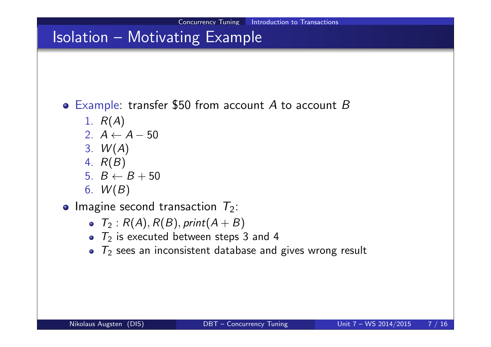## Isolation – Motivating Example

- $\bullet$  Example: transfer \$50 from account A to account B
	- 1.  $R(A)$
	- 2.  $A \leftarrow A 50$
	- 3.  $W(A)$
	- 4. R(B)
	- 5.  $B \leftarrow B + 50$
	- 6.  $W(B)$
- Imagine second transaction  $T_2$ :
	- $T_2$  :  $R(A), R(B), print(A + B)$
	- $\bullet$   $T_2$  is executed between steps 3 and 4
	- $T_2$  sees an inconsistent database and gives wrong result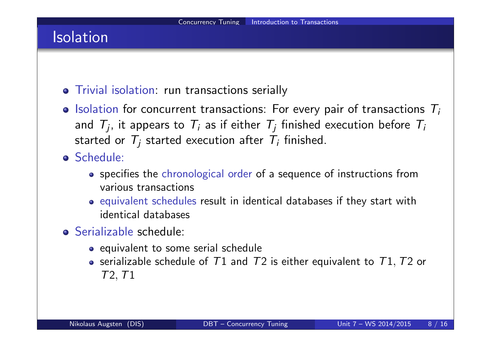## Isolation

- Trivial isolation: run transactions serially
- $\bullet$  Isolation for concurrent transactions: For every pair of transactions  $T_i$ and  $\mathcal{T}_j$ , it appears to  $\mathcal{T}_i$  as if either  $\mathcal{T}_j$  finished execution before  $\mathcal{T}_i$ started or  $\mathcal{T}_j$  started execution after  $\mathcal{T}_i$  finished.
- Schedule:
	- specifies the chronological order of a sequence of instructions from various transactions
	- equivalent schedules result in identical databases if they start with identical databases
- Serializable schedule:
	- equivalent to some serial schedule
	- serializable schedule of  $T1$  and  $T2$  is either equivalent to  $T1$ ,  $T2$  or T2,T1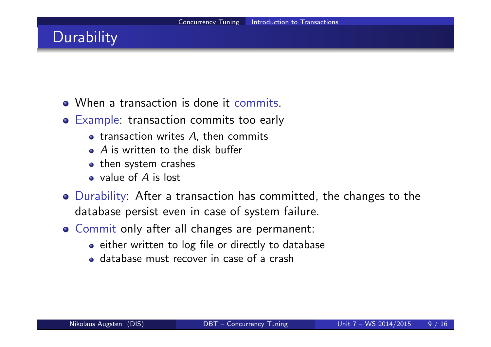# **Durability**

- When a transaction is done it commits.
- Example: transaction commits too early
	- $\bullet$  transaction writes A, then commits
	- A is written to the disk buffer
	- then system crashes
	- value of A is lost
- Durability: After a transaction has committed, the changes to the database persist even in case of system failure.
- Commit only after all changes are permanent:
	- either written to log file or directly to database
	- database must recover in case of a crash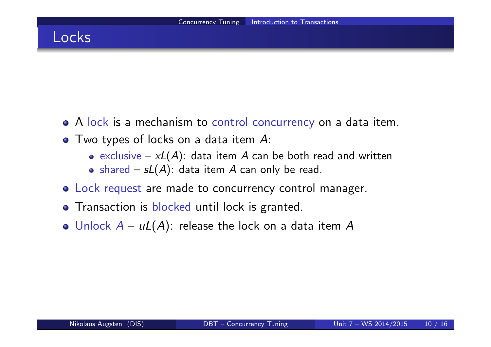### Locks

- A lock is a mechanism to control concurrency on a data item.
- Two types of locks on a data item A:
	- exclusive  $-xL(A)$ : data item A can be both read and written
	- shared  $sL(A)$ : data item A can only be read.
- Lock request are made to concurrency control manager.
- **•** Transaction is blocked until lock is granted.
- Unlock  $A uL(A)$ : release the lock on a data item A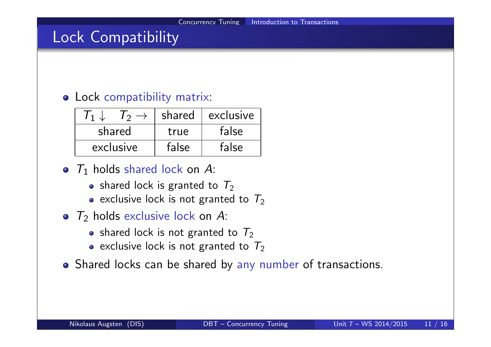### Lock Compatibility

#### Lock compatibility matrix:

|           | shared | exclusive |
|-----------|--------|-----------|
| shared    | true   | false     |
| exclusive | false  | false     |

- $T_1$  holds shared lock on A:
	- shared lock is granted to  $T_2$
	- exclusive lock is not granted to  $T_2$
- $T_2$  holds exclusive lock on A:
	- shared lock is not granted to  $T_2$
	- exclusive lock is not granted to  $T_2$
- Shared locks can be shared by any number of transactions.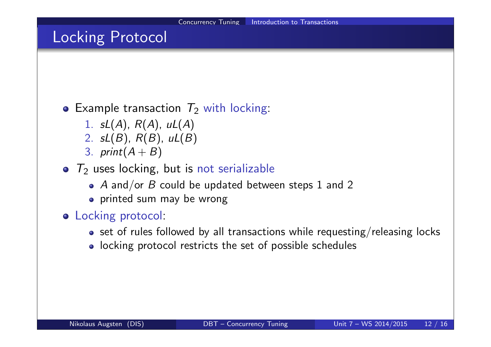### Locking Protocol

### • Example transaction  $T_2$  with locking:

- 1.  $sL(A)$ ,  $R(A)$ ,  $uL(A)$
- 2.  $sL(B)$ ,  $R(B)$ ,  $uL(B)$
- 3. print $(A + B)$
- $T_2$  uses locking, but is not serializable
	- $\bullet$  A and/or B could be updated between steps 1 and 2
	- printed sum may be wrong
- **o** Locking protocol:
	- $\bullet$  set of rules followed by all transactions while requesting/releasing locks
	- locking protocol restricts the set of possible schedules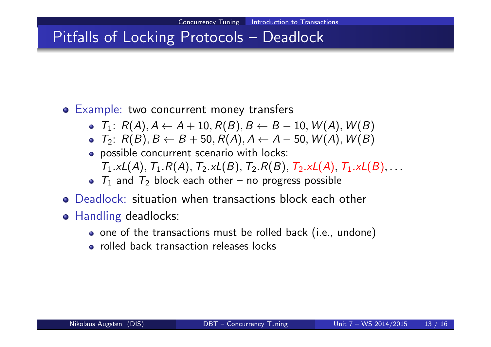# Pitfalls of Locking Protocols - Deadlock

#### **o** Example: two concurrent money transfers

- $T_1: R(A), A \leftarrow A + 10, R(B), B \leftarrow B 10, W(A), W(B)$
- $T_2$ :  $R(B), B \leftarrow B + 50, R(A), A \leftarrow A 50, W(A), W(B)$
- possible concurrent scenario with locks:  $T_1.xL(A), T_1.R(A), T_2.xL(B), T_2.R(B), T_2.xL(A), T_1.xL(B), \ldots$
- $T_1$  and  $T_2$  block each other no progress possible
- Deadlock: situation when transactions block each other
- **o** Handling deadlocks:
	- o one of the transactions must be rolled back (i.e., undone)
	- rolled back transaction releases locks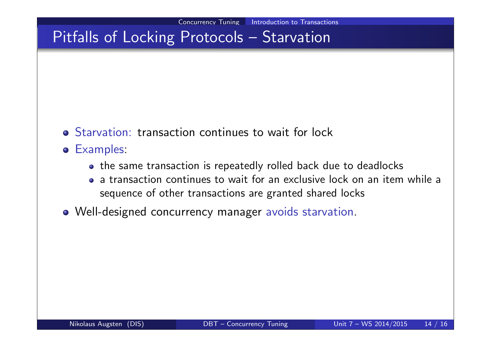# Pitfalls of Locking Protocols – Starvation

- Starvation: transaction continues to wait for lock
- Examples:
	- the same transaction is repeatedly rolled back due to deadlocks
	- a transaction continues to wait for an exclusive lock on an item while a sequence of other transactions are granted shared locks
- Well-designed concurrency manager avoids starvation.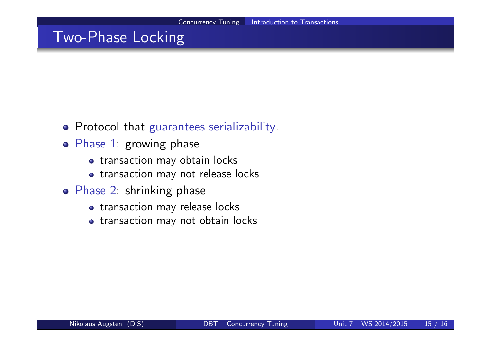### Two-Phase Locking

- **•** Protocol that guarantees serializability.
- Phase 1: growing phase
	- transaction may obtain locks
	- o transaction may not release locks
- Phase 2: shrinking phase
	- transaction may release locks
	- transaction may not obtain locks